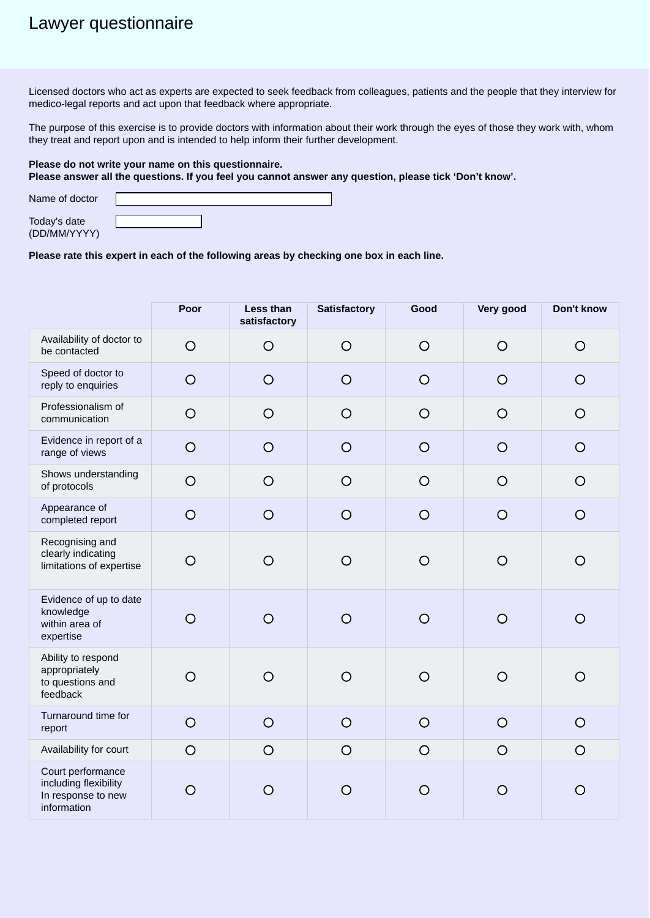## Lawyer questionnaire

Licensed doctors who act as experts are expected to seek feedback from colleagues, patients and the people that they interview for medico-legal reports and act upon that feedback where appropriate.

The purpose of this exercise is to provide doctors with information about their work through the eyes of those they work with, whom they treat and report upon and is intended to help inform their further development.

## **Please do not write your name on this questionnaire. Please answer all the questions. If you feel you cannot answer any question, please tick 'Don't know'.**

| Name of doctor               |  |
|------------------------------|--|
| Today's date<br>(DD/MM/YYYY) |  |

## **Please rate this expert in each of the following areas by checking one box in each line.**

|                                                                                 | Poor           | Less than<br>satisfactory | <b>Satisfactory</b> | Good    | Very good | Don't know       |
|---------------------------------------------------------------------------------|----------------|---------------------------|---------------------|---------|-----------|------------------|
| Availability of doctor to<br>be contacted                                       | $\circ$        | $\circ$                   | $\bigcirc$          | $\circ$ | $\circ$   | $\circ$          |
| Speed of doctor to<br>reply to enquiries                                        | $\circ$        | $\circ$                   | $\circ$             | $\circ$ | $\circ$   | $\bigcirc$       |
| Professionalism of<br>communication                                             | $\circ$        | $\circ$                   | $\circ$             | $\circ$ | $\circ$   | $\circ$          |
| Evidence in report of a<br>range of views                                       | $\circ$        | $\circ$                   | $\circ$             | $\circ$ | $\circ$   | $\circ$          |
| Shows understanding<br>of protocols                                             | $\circ$        | $\circ$                   | $\circ$             | $\circ$ | $\circ$   | $\circ$          |
| Appearance of<br>completed report                                               | $\overline{O}$ | $\circ$                   | $\circ$             | $\circ$ | $\circ$   | $\bigcirc$       |
| Recognising and<br>clearly indicating<br>limitations of expertise               | $\circ$        | $\circ$                   | $\circ$             | $\circ$ | $\circ$   | $\bigcirc$       |
| Evidence of up to date<br>knowledge<br>within area of<br>expertise              | $\overline{O}$ | $\overline{O}$            | $\circ$             | $\circ$ | $\Omega$  | $\Omega$         |
| Ability to respond<br>appropriately<br>to questions and<br>feedback             | $\circ$        | $\circ$                   | $\circ$             | $\circ$ | $\circ$   | O                |
| Turnaround time for<br>report                                                   | $\circ$        | $\circ$                   | $\circ$             | $\circ$ | $\circ$   | $\circ$          |
| Availability for court                                                          | $\circ$        | $\circ$                   | $\bigcirc$          | $\circ$ | $\circ$   | $\circ$          |
| Court performance<br>including flexibility<br>In response to new<br>information | $\circ$        | $\circ$                   | $\circ$             | $\circ$ | O         | $\mathbf{\circ}$ |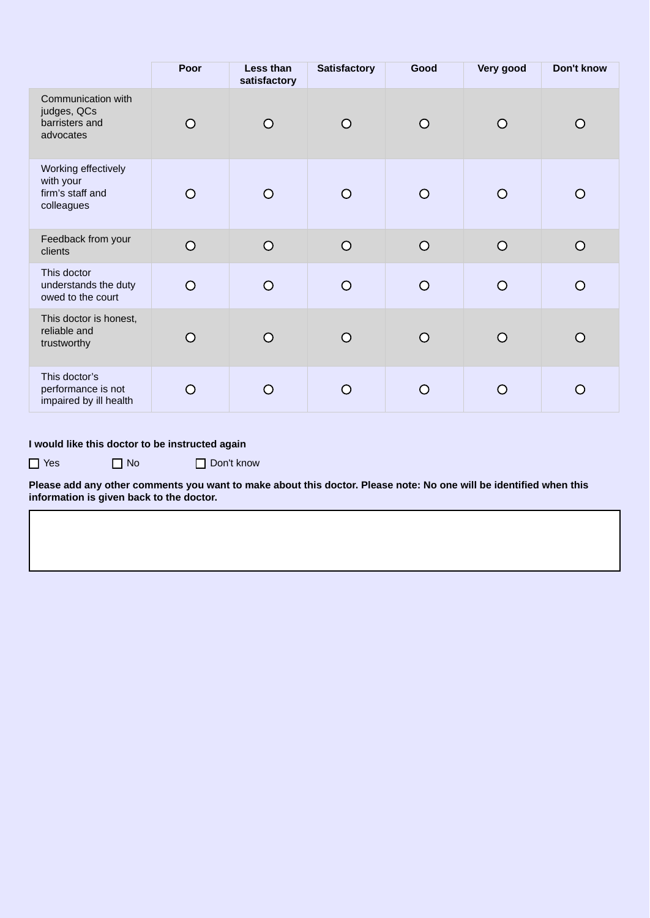|                                                                    | Poor       | Less than<br>satisfactory | <b>Satisfactory</b> | Good      | Very good  | Don't know     |
|--------------------------------------------------------------------|------------|---------------------------|---------------------|-----------|------------|----------------|
| Communication with<br>judges, QCs<br>barristers and<br>advocates   | O          | O                         | O                   | $\bigcap$ | ∩          | O              |
| Working effectively<br>with your<br>firm's staff and<br>colleagues | $\Omega$   | $\circ$                   | $\circ$             | ∩         | $\bigcirc$ | $\bigcirc$     |
| Feedback from your<br>clients                                      | $\circ$    | $\circ$                   | $\circ$             | $\Omega$  | $\circ$    | $\overline{O}$ |
| This doctor<br>understands the duty<br>owed to the court           | $\bigcirc$ | $\circ$                   | $\circ$             | $\bigcap$ | $\Omega$   | $\bigcirc$     |
| This doctor is honest,<br>reliable and<br>trustworthy              | ◯          | O                         | O                   | $\bigcap$ | ∩          | O              |
| This doctor's<br>performance is not<br>impaired by ill health      | $\bigcirc$ | O                         | O                   |           | $\bigcap$  | $\Omega$       |

## **I would like this doctor to be instructed again**

□ Yes □ No □ Don't know

**Please add any other comments you want to make about this doctor. Please note: No one will be identified when this information is given back to the doctor.**